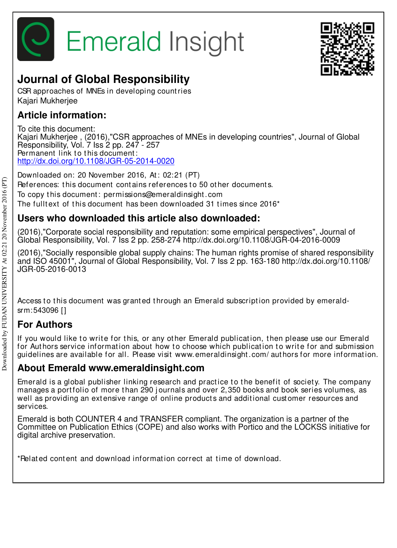



## **Journal of Global Responsibility**

CSR approaches of MNEs in developing count ries Kajari Mukherjee

## **Article information:**

To cite this document: Kajari Mukherjee , (2016),"CSR approaches of MNEs in developing countries", Journal of Global Responsibility, Vol. 7 Iss 2 pp. 247 - 257 Permanent link to this document: http://dx.doi.org/10.1108/JGR-05-2014-0020

Downloaded on: 20 November 2016, At : 02:21 (PT) References: this document contains references to 50 other documents. To copy t his document : permissions@emeraldinsight .com The fulltext of this document has been downloaded  $31$  times since  $2016<sup>*</sup>$ 

## **Users who downloaded this article also downloaded:**

(2016),"Corporate social responsibility and reputation: some empirical perspectives", Journal of Global Responsibility, Vol. 7 Iss 2 pp. 258-274 http://dx.doi.org/10.1108/JGR-04-2016-0009

(2016),"Socially responsible global supply chains: The human rights promise of shared responsibility and ISO 45001", Journal of Global Responsibility, Vol. 7 Iss 2 pp. 163-180 http://dx.doi.org/10.1108/ JGR-05-2016-0013

Access to this document was granted through an Emerald subscription provided by emeraldsrm:543096 []

## **For Authors**

If you would like to write for this, or any other Emerald publication, then please use our Emerald for Authors service information about how to choose which publication to write for and submission guidelines are available for all. Please visit www.emeraldinsight .com/ aut hors for more informat ion.

### **About Emerald www.emeraldinsight.com**

Emerald is a global publisher linking research and practice to the benefit of society. The company manages a portfolio of more than 290 journals and over 2,350 books and book series volumes, as well as providing an extensive range of online products and additional customer resources and services.

Emerald is both COUNTER 4 and TRANSFER compliant. The organization is a partner of the Committee on Publication Ethics (COPE) and also works with Portico and the LOCKSS initiative for digital archive preservation.

\*Related content and download information correct at time of download.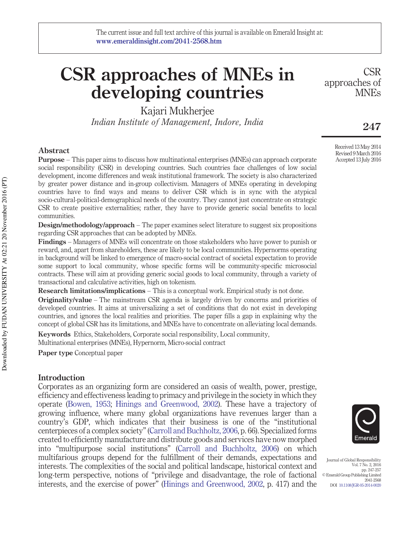# **CSR approaches of MNEs in developing countries**

Kajari Mukherjee *Indian Institute of Management, Indore, India*

#### **Abstract**

**Purpose** – This paper aims to discuss how multinational enterprises (MNEs) can approach corporate social responsibility (CSR) in developing countries. Such countries face challenges of low social development, income differences and weak institutional framework. The society is also characterized by greater power distance and in-group collectivism. Managers of MNEs operating in developing countries have to find ways and means to deliver CSR which is in sync with the atypical socio-cultural-political-demographical needs of the country. They cannot just concentrate on strategic CSR to create positive externalities; rather, they have to provide generic social benefits to local communities.

**Design/methodology/approach** – The paper examines select literature to suggest six propositions regarding CSR approaches that can be adopted by MNEs.

**Findings** – Managers of MNEs will concentrate on those stakeholders who have power to punish or reward, and, apart from shareholders, these are likely to be local communities. Hypernorms operating in background will be linked to emergence of macro-social contract of societal expectation to provide some support to local community, whose specific forms will be community-specific microsocial contracts. These will aim at providing generic social goods to local community, through a variety of transactional and calculative activities, high on tokenism.

**Research limitations/implications** – This is a conceptual work. Empirical study is not done.

**Originality/value** – The mainstream CSR agenda is largely driven by concerns and priorities of developed countries. It aims at universalizing a set of conditions that do not exist in developing countries, and ignores the local realities and priorities. The paper fills a gap in explaining why the concept of global CSR has its limitations, and MNEs have to concentrate on alleviating local demands.

**Keywords** Ethics, Stakeholders, Corporate social responsibility, Local community, Multinational enterprises (MNEs), Hypernorm, Micro-social contract

**Paper type** Conceptual paper

#### **Introduction**

Corporates as an organizing form are considered an oasis of wealth, power, prestige, efficiency and effectiveness leading to primacy and privilege in the society in which they operate (Bowen, 1953; Hinings and Greenwood, 2002). These have a trajectory of growing influence, where many global organizations have revenues larger than a country's GDP, which indicates that their business is one of the "institutional centerpieces of a complex society" (Carroll and Buchholtz, 2006, p. 66). Specialized forms created to efficiently manufacture and distribute goods and services have now morphed into "multipurpose social institutions" (Carroll and Buchholtz, 2006) on which multifarious groups depend for the fulfillment of their demands, expectations and interests. The complexities of the social and political landscape, historical context and long-term perspective, notions of "privilege and disadvantage, the role of factional interests, and the exercise of power" (Hinings and Greenwood, 2002, p. 417) and the



Journal of Global Responsibility Vol. 7 No. 2, 2016 pp. 247-257 © Emerald Group Publishing Limited 2041-2568 DOI 10.1108/JGR-05-2014-0020

approaches of

**CSR** 

MNEs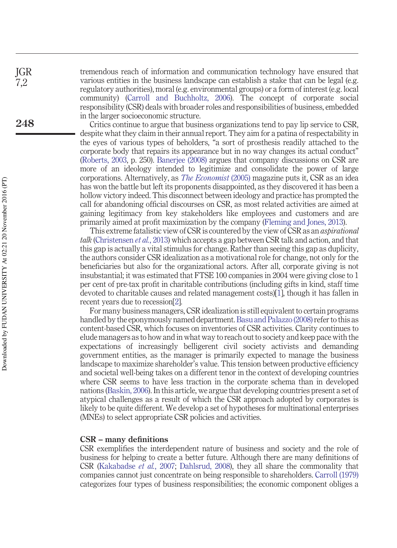tremendous reach of information and communication technology have ensured that various entities in the business landscape can establish a stake that can be legal (e.g. regulatory authorities), moral (e.g. environmental groups) or a form of interest (e.g. local community) (Carroll and Buchholtz, 2006). The concept of corporate social responsibility (CSR) deals with broader roles and responsibilities of business, embedded in the larger socioeconomic structure.

Critics continue to argue that business organizations tend to pay lip service to CSR, despite what they claim in their annual report. They aim for a patina of respectability in the eyes of various types of beholders, "a sort of prosthesis readily attached to the corporate body that repairs its appearance but in no way changes its actual conduct" (Roberts, 2003, p. 250). Banerjee (2008) argues that company discussions on CSR are more of an ideology intended to legitimize and consolidate the power of large corporations. Alternatively, as *The Economist* (2005) magazine puts it, CSR as an idea has won the battle but left its proponents disappointed, as they discovered it has been a hollow victory indeed. This disconnect between ideology and practice has prompted the call for abandoning official discourses on CSR, as most related activities are aimed at gaining legitimacy from key stakeholders like employees and customers and are primarily aimed at profit maximization by the company (Fleming and Jones, 2013).

This extreme fatalistic view of CSR is countered by the view of CSR as an *aspirational talk* (Christensen *et al.*, 2013) which accepts a gap between CSR talk and action, and that this gap is actually a vital stimulus for change. Rather than seeing this gap as duplicity, the authors consider CSR idealization as a motivational role for change, not only for the beneficiaries but also for the organizational actors. After all, corporate giving is not insubstantial; it was estimated that FTSE 100 companies in 2004 were giving close to 1 per cent of pre-tax profit in charitable contributions (including gifts in kind, staff time devoted to charitable causes and related management costs)[1], though it has fallen in recent years due to recession[2].

For many business managers, CSR idealization is still equivalent to certain programs handled by the eponymously named department. Basu and Palazzo (2008) refer to this as content-based CSR, which focuses on inventories of CSR activities. Clarity continues to elude managers as to how and in what way to reach out to society and keep pace with the expectations of increasingly belligerent civil society activists and demanding government entities, as the manager is primarily expected to manage the business landscape to maximize shareholder's value. This tension between productive efficiency and societal well-being takes on a different tenor in the context of developing countries where CSR seems to have less traction in the corporate schema than in developed nations (Baskin, 2006). In this article, we argue that developing countries present a set of atypical challenges as a result of which the CSR approach adopted by corporates is likely to be quite different. We develop a set of hypotheses for multinational enterprises (MNEs) to select appropriate CSR policies and activities.

#### **CSR – many definitions**

CSR exemplifies the interdependent nature of business and society and the role of business for helping to create a better future. Although there are many definitions of CSR (Kakabadse *et al.*, 2007; Dahlsrud, 2008), they all share the commonality that companies cannot just concentrate on being responsible to shareholders. Carroll (1979) categorizes four types of business responsibilities; the economic component obliges a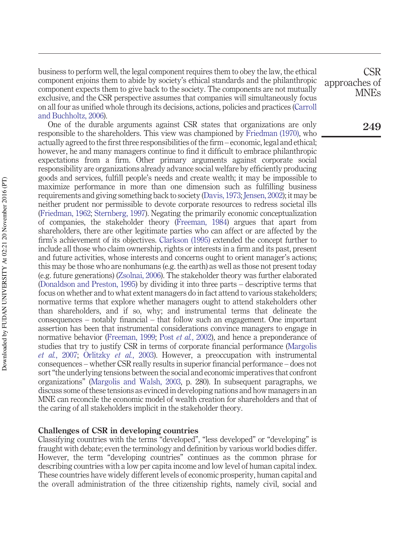business to perform well, the legal component requires them to obey the law, the ethical component enjoins them to abide by society's ethical standards and the philanthropic component expects them to give back to the society. The components are not mutually exclusive, and the CSR perspective assumes that companies will simultaneously focus on all four as unified whole through its decisions, actions, policies and practices (Carroll and Buchholtz, 2006).

One of the durable arguments against CSR states that organizations are only responsible to the shareholders. This view was championed by Friedman (1970), who actually agreed to the first three responsibilities of the firm – economic, legal and ethical; however, he and many managers continue to find it difficult to embrace philanthropic expectations from a firm. Other primary arguments against corporate social responsibility are organizations already advance social welfare by efficiently producing goods and services, fulfill people's needs and create wealth; it may be impossible to maximize performance in more than one dimension such as fulfilling business requirements and giving something back to society (Davis, 1973; Jensen, 2002); it may be neither prudent nor permissible to devote corporate resources to redress societal ills (Friedman, 1962; Sternberg, 1997). Negating the primarily economic conceptualization of companies, the stakeholder theory (Freeman, 1984) argues that apart from shareholders, there are other legitimate parties who can affect or are affected by the firm's achievement of its objectives. Clarkson (1995) extended the concept further to include all those who claim ownership, rights or interests in a firm and its past, present and future activities, whose interests and concerns ought to orient manager's actions; this may be those who are nonhumans (e.g. the earth) as well as those not present today (e.g. future generations) (Zsolnai, 2006). The stakeholder theory was further elaborated (Donaldson and Preston, 1995) by dividing it into three parts – descriptive terms that focus on whether and to what extent managers do in fact attend to various stakeholders; normative terms that explore whether managers ought to attend stakeholders other than shareholders, and if so, why; and instrumental terms that delineate the consequences – notably financial – that follow such an engagement. One important assertion has been that instrumental considerations convince managers to engage in normative behavior (Freeman, 1999; Post *et al.*, 2002), and hence a preponderance of studies that try to justify CSR in terms of corporate financial performance (Margolis *et al.*, 2007; Orlitzky *et al.*, 2003). However, a preoccupation with instrumental consequences – whether CSR really results in superior financial performance – does not sort "the underlying tensions between the social and economic imperatives that confront organizations" (Margolis and Walsh, 2003, p. 280). In subsequent paragraphs, we discuss some of these tensions as evinced in developing nations and how managers in an MNE can reconcile the economic model of wealth creation for shareholders and that of the caring of all stakeholders implicit in the stakeholder theory.

#### **Challenges of CSR in developing countries**

Classifying countries with the terms "developed", "less developed" or "developing" is fraught with debate; even the terminology and definition by various world bodies differ. However, the term "developing countries" continues as the common phrase for describing countries with a low per capita income and low level of human capital index. These countries have widely different levels of economic prosperity, human capital and the overall administration of the three citizenship rights, namely civil, social and

CSR approaches of MNEs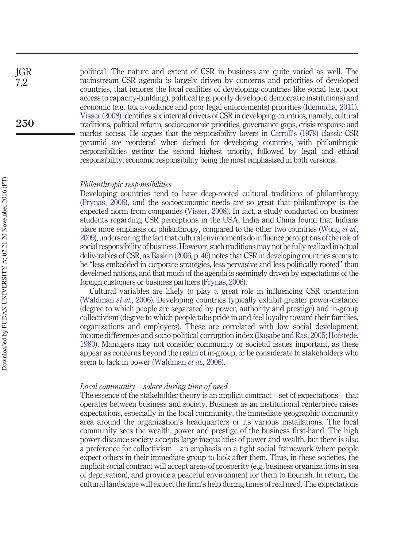political. The nature and extent of CSR in business are quite varied as well. The mainstream CSR agenda is largely driven by concerns and priorities of developed countries, that ignores the local realities of developing countries like social (e.g. poor access to capacity-building), political (e.g. poorly developed democratic institutions) and economic (e.g. tax avoidance and poor legal enforcements) priorities (Idemudia, 2011). Visser (2008) identifies six internal drivers of CSR in developing countries, namely, cultural traditions, political reform, socioeconomic priorities, governance gaps, crisis response and market access. He argues that the responsibility layers in Carroll's (1979) classic CSR pyramid are reordered when defined for developing countries, with philanthropic responsibilities getting the second highest priority, followed by legal and ethical responsibility; economic responsibility being the most emphasized in both versions.

#### *Philanthropic responsibilities*

Developing countries tend to have deep-rooted cultural traditions of philanthropy (Frynas, 2006), and the socioeconomic needs are so great that philanthropy is the expected norm from companies (Visser, 2008). In fact, a study conducted on business students regarding CSR perceptions in the USA, India and China found that Indians place more emphasis on philanthropy, compared to the other two countries (Wong *et al.*, 2009), underscoring the fact that cultural environments doinfluence perceptions of the role of social responsibility of business. However, such traditions may not be fully realized in actual deliverables of CSR, as Baskin (2006, p. 46) notes that CSR in developing countries seems to be "less embedded in corporate strategies, less pervasive and less politically rooted" than developed nations, and that much of the agenda is seemingly driven by expectations of the foreign customers or business partners (Frynas, 2006).

Cultural variables are likely to play a great role in influencing CSR orientation (Waldman *et al.*, 2006). Developing countries typically exhibit greater power-distance (degree to which people are separated by power, authority and prestige) and in-group collectivism (degree to which people take pride in and feel loyalty toward their families, organizations and employers). These are correlated with low social development, income differences and socio-political corruption index (Basabe and Ras, 2005; Hofstede, 1980). Managers may not consider community or societal issues important, as these appear as concerns beyond the realm of in-group, or be considerate to stakeholders who seem to lack in power (Waldman *et al.*, 2006).

#### *Local community – solace during time of need*

The essence of the stakeholder theory is an implicit contract – set of expectations – that operates between business and society. Business as an institutional centerpiece raises expectations, especially in the local community, the immediate geographic community area around the organization's headquarters or its various installations. The local community sees the wealth, power and prestige of the business first-hand. The high power-distance society accepts large inequalities of power and wealth, but there is also a preference for collectivism – an emphasis on a tight social framework where people expect others in their immediate group to look after them. Thus, in these societies, the implicit social contract will accept areas of prosperity (e.g. business organizations in sea of deprivation), and provide a peaceful environment for them to flourish. In return, the cultural landscape will expect the firm's help during times of real need. The expectations

JGR  $7.2$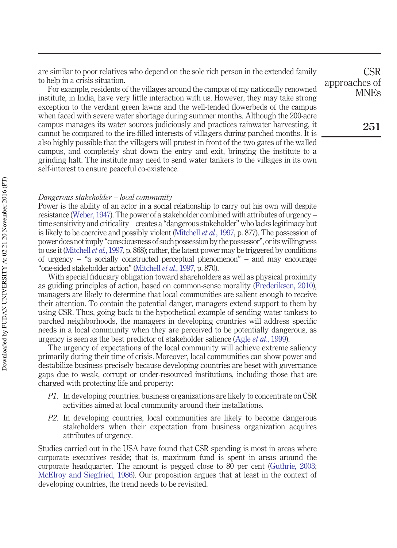are similar to poor relatives who depend on the sole rich person in the extended family to help in a crisis situation.

For example, residents of the villages around the campus of my nationally renowned institute, in India, have very little interaction with us. However, they may take strong exception to the verdant green lawns and the well-tended flowerbeds of the campus when faced with severe water shortage during summer months. Although the 200-acre campus manages its water sources judiciously and practices rainwater harvesting, it cannot be compared to the ire-filled interests of villagers during parched months. It is also highly possible that the villagers will protest in front of the two gates of the walled campus, and completely shut down the entry and exit, bringing the institute to a grinding halt. The institute may need to send water tankers to the villages in its own self-interest to ensure peaceful co-existence.

#### *Dangerous stakeholder – local community*

Power is the ability of an actor in a social relationship to carry out his own will despite resistance (Weber, 1947). The power of a stakeholder combined with attributes of urgency – time sensitivity and criticality – creates a "dangerous stakeholder" who lacks legitimacy but is likely to be coercive and possibly violent (Mitchell *et al.*, 1997, p. 877). The possession of power does not imply "consciousness of such possession by the possessor", or its willingness to use it (Mitchell *et al.*, 1997, p. 868); rather, the latent power may be triggered by conditions of urgency – "a socially constructed perceptual phenomenon" – and may encourage "one-sided stakeholder action" (Mitchell *et al.*, 1997, p. 870).

With special fiduciary obligation toward shareholders as well as physical proximity as guiding principles of action, based on common-sense morality (Frederiksen, 2010), managers are likely to determine that local communities are salient enough to receive their attention. To contain the potential danger, managers extend support to them by using CSR. Thus, going back to the hypothetical example of sending water tankers to parched neighborhoods, the managers in developing countries will address specific needs in a local community when they are perceived to be potentially dangerous, as urgency is seen as the best predictor of stakeholder salience (Agle *et al.*, 1999).

The urgency of expectations of the local community will achieve extreme saliency primarily during their time of crisis. Moreover, local communities can show power and destabilize business precisely because developing countries are beset with governance gaps due to weak, corrupt or under-resourced institutions, including those that are charged with protecting life and property:

- *P1*. In developing countries, business organizations are likely to concentrate on CSR activities aimed at local community around their installations.
- *P2*. In developing countries, local communities are likely to become dangerous stakeholders when their expectation from business organization acquires attributes of urgency.

Studies carried out in the USA have found that CSR spending is most in areas where corporate executives reside; that is, maximum fund is spent in areas around the corporate headquarter. The amount is pegged close to 80 per cent (Guthrie, 2003; McElroy and Siegfried, 1986). Our proposition argues that at least in the context of developing countries, the trend needs to be revisited.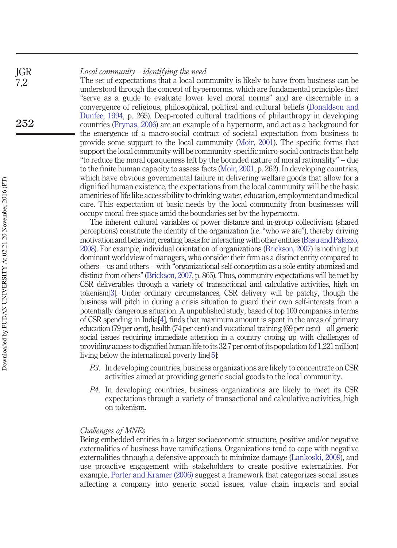#### *Local community – identifying the need* JGR  $7.2$

The set of expectations that a local community is likely to have from business can be understood through the concept of hypernorms, which are fundamental principles that "serve as a guide to evaluate lower level moral norms" and are discernible in a convergence of religious, philosophical, political and cultural beliefs (Donaldson and Dunfee, 1994, p. 265). Deep-rooted cultural traditions of philanthropy in developing countries (Frynas, 2006) are an example of a hypernorm, and act as a background for the emergence of a macro-social contract of societal expectation from business to provide some support to the local community (Moir, 2001). The specific forms that support the local community will be community-specific micro-social contracts that help "to reduce the moral opaqueness left by the bounded nature of moral rationality" – due to the finite human capacity to assess facts (Moir, 2001, p. 262). In developing countries, which have obvious governmental failure in delivering welfare goods that allow for a dignified human existence, the expectations from the local community will be the basic amenities of life like accessibility to drinking water, education, employment and medical care. This expectation of basic needs by the local community from businesses will occupy moral free space amid the boundaries set by the hypernorm.

The inherent cultural variables of power distance and in-group collectivism (shared perceptions) constitute the identity of the organization (i.e. "who we are"), thereby driving motivation and behavior, creating basis forinteracting with other entities(Basu and Palazzo, 2008). For example, individual orientation of organizations (Brickson, 2007) is nothing but dominant worldview of managers, who consider their firm as a distinct entity compared to others – us and others – with "organizational self-conception as a sole entity atomized and distinct from others" (Brickson, 2007, p. 865). Thus, community expectations will be met by CSR deliverables through a variety of transactional and calculative activities, high on tokenism[3]. Under ordinary circumstances, CSR delivery will be patchy, though the business will pitch in during a crisis situation to guard their own self-interests from a potentially dangerous situation. A unpublished study, based of top 100 companies in terms of CSR spending in India[4], finds that maximum amount is spent in the areas of primary education (79 per cent), health (74 per cent) and vocational training (69 per cent) – all generic social issues requiring immediate attention in a country coping up with challenges of providing access to dignified human life to its 32.7 per cent of its population (of 1,221 million) living below the international poverty line[5]:

- *P3*. In developing countries, business organizations are likely to concentrate on CSR activities aimed at providing generic social goods to the local community.
- *P4*. In developing countries, business organizations are likely to meet its CSR expectations through a variety of transactional and calculative activities, high on tokenism.

#### *Challenges of MNEs*

Being embedded entities in a larger socioeconomic structure, positive and/or negative externalities of business have ramifications. Organizations tend to cope with negative externalities through a defensive approach to minimize damage (Lankoski, 2009), and use proactive engagement with stakeholders to create positive externalities. For example, Porter and Kramer (2006) suggest a framework that categorizes social issues affecting a company into generic social issues, value chain impacts and social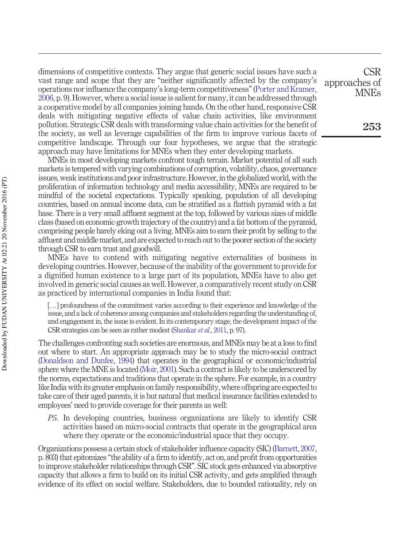dimensions of competitive contexts. They argue that generic social issues have such a vast range and scope that they are "neither significantly affected by the company's operations nor influence the company's long-term competitiveness" (Porter and Kramer, 2006, p. 9). However, where a social issue is salient for many, it can be addressed through a cooperative model by all companies joining hands. On the other hand, responsive CSR deals with mitigating negative effects of value chain activities, like environment pollution. Strategic CSR deals with transforming value chain activities for the benefit of the society, as well as leverage capabilities of the firm to improve various facets of competitive landscape. Through our four hypotheses, we argue that the strategic approach may have limitations for MNEs when they enter developing markets.

MNEs in most developing markets confront tough terrain. Market potential of all such markets is tempered with varying combinations of corruption, volatility, chaos, governance issues, weak institutions and poor infrastructure. However, in the globalized world, with the proliferation of information technology and media accessibility, MNEs are required to be mindful of the societal expectations. Typically speaking, population of all developing countries, based on annual income data, can be stratified as a flattish pyramid with a fat base. There is a very small affluent segment at the top, followed by various sizes of middle class (based on economic-growth trajectory of the country) and a fat bottom of the pyramid, comprising people barely eking out a living. MNEs aim to earn their profit by selling to the affluent and middle market, and are expected to reach out to the poorer section of the society through CSR to earn trust and goodwill.

MNEs have to contend with mitigating negative externalities of business in developing countries. However, because of the inability of the government to provide for a dignified human existence to a large part of its population, MNEs have to also get involved in generic social causes as well. However, a comparatively recent study on CSR as practiced by international companies in India found that:

[...] profoundness of the commitment varies according to their experience and knowledge of the issue, and a lack of coherence among companies and stakeholders regarding the understanding of, and engagement in, the issue is evident. In its contemporary stage, the development impact of the CSR strategies can be seen as rather modest (Shankar *et al.*, 2011, p. 97).

The challenges confronting such societies are enormous, and MNEs may be at a loss to find out where to start. An appropriate approach may be to study the micro-social contract (Donaldson and Dunfee, 1994) that operates in the geographical or economic/industrial sphere where the MNE is located (Moir, 2001). Such a contract is likely to be underscored by the norms, expectations and traditions that operate in the sphere. For example, in a country like India with its greater emphasis on family responsibility, where offspring are expected to take care of their aged parents, it is but natural that medical insurance facilities extended to employees' need to provide coverage for their parents as well:

*P5*. In developing countries, business organizations are likely to identify CSR activities based on micro-social contracts that operate in the geographical area where they operate or the economic/industrial space that they occupy.

Organizations possess a certain stock of stakeholder influence capacity (SIC) (Barnett, 2007, p. 803) that epitomizes "the ability of a firm to identify, act on, and profit from opportunities to improve stakeholder relationships through CSR". SIC stock gets enhanced via absorptive capacity that allows a firm to build on its initial CSR activity, and gets amplified through evidence of its effect on social welfare. Stakeholders, due to bounded rationality, rely on

CSR approaches of MNEs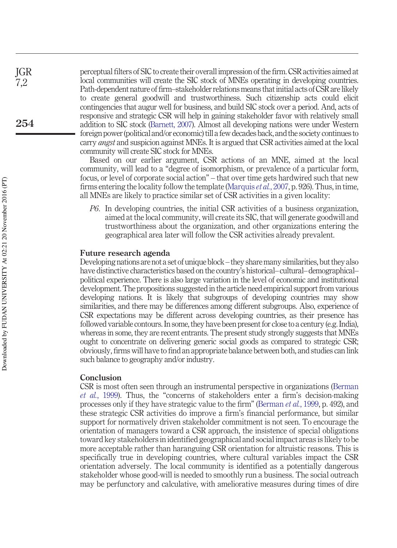perceptual filters of SIC to create their overall impression of the firm. CSR activities aimed at local communities will create the SIC stock of MNEs operating in developing countries. Path-dependent nature of firm–stakeholder relations means that initial acts of CSR are likely to create general goodwill and trustworthiness. Such citizenship acts could elicit contingencies that augur well for business, and build SIC stock over a period. And, acts of responsive and strategic CSR will help in gaining stakeholder favor with relatively small addition to SIC stock (Barnett, 2007). Almost all developing nations were under Western foreign power (political and/or economic) till a few decades back, and the society continues to carry *angst* and suspicion against MNEs. It is argued that CSR activities aimed at the local community will create SIC stock for MNEs.

Based on our earlier argument, CSR actions of an MNE, aimed at the local community, will lead to a "degree of isomorphism, or prevalence of a particular form, focus, or level of corporate social action" – that over time gets hardwired such that new firms entering the locality follow the template (Marquis *et al.*, 2007, p. 926). Thus, in time, all MNEs are likely to practice similar set of CSR activities in a given locality:

*P6*. In developing countries, the initial CSR activities of a business organization, aimed at the local community, will create its SIC, that will generate goodwill and trustworthiness about the organization, and other organizations entering the geographical area later will follow the CSR activities already prevalent.

#### **Future research agenda**

Developing nations are not a set of unique block – they share many similarities, but they also have distinctive characteristics based on the country's historical–cultural–demographical– political experience. There is also large variation in the level of economic and institutional development. The propositions suggested in the article need empirical support from various developing nations. It is likely that subgroups of developing countries may show similarities, and there may be differences among different subgroups. Also, experience of CSR expectations may be different across developing countries, as their presence has followed variable contours. In some, they have been present for close to a century (e.g. India), whereas in some, they are recent entrants. The present study strongly suggests that MNEs ought to concentrate on delivering generic social goods as compared to strategic CSR; obviously, firms will have to find an appropriate balance between both, and studies can link such balance to geography and/or industry.

#### **Conclusion**

CSR is most often seen through an instrumental perspective in organizations (Berman *et al.*, 1999). Thus, the "concerns of stakeholders enter a firm's decision-making processes only if they have strategic value to the firm" (Berman *et al.*, 1999, p. 492), and these strategic CSR activities do improve a firm's financial performance, but similar support for normatively driven stakeholder commitment is not seen. To encourage the orientation of managers toward a CSR approach, the insistence of special obligations toward key stakeholders in identified geographical and social impact areas is likely to be more acceptable rather than haranguing CSR orientation for altruistic reasons. This is specifically true in developing countries, where cultural variables impact the CSR orientation adversely. The local community is identified as a potentially dangerous stakeholder whose good-will is needed to smoothly run a business. The social outreach may be perfunctory and calculative, with ameliorative measures during times of dire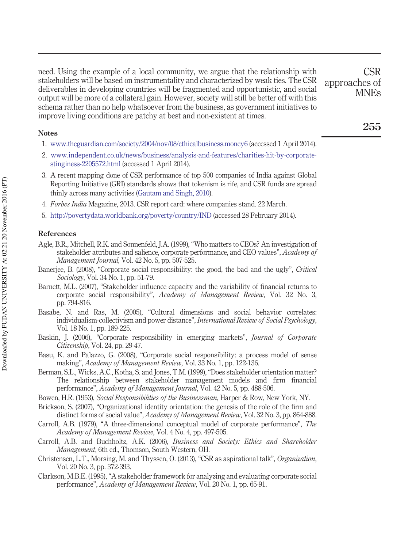need. Using the example of a local community, we argue that the relationship with stakeholders will be based on instrumentality and characterized by weak ties. The CSR deliverables in developing countries will be fragmented and opportunistic, and social output will be more of a collateral gain. However, society will still be better off with this schema rather than no help whatsoever from the business, as government initiatives to improve living conditions are patchy at best and non-existent at times.

#### **Notes**

- 1. [www.theguardian.com/society/2004/nov/08/ethicalbusiness.money6](http://www.theguardian.com/society/2004/nov/08/ethicalbusiness.money6) (accessed 1 April 2014).
- 2. [www.independent.co.uk/news/business/analysis-and-features/charities-hit-by-corporate](http://www.independent.co.uk/news/business/analysis-and-features/charities-hit-by-corporate-stinginess-2205572.html)[stinginess-2205572.html](http://www.independent.co.uk/news/business/analysis-and-features/charities-hit-by-corporate-stinginess-2205572.html) (accessed 1 April 2014).
- 3. A recent mapping done of CSR performance of top 500 companies of India against Global Reporting Initiative (GRI) standards shows that tokenism is rife, and CSR funds are spread thinly across many activities (Gautam and Singh, 2010).
- 4. *Forbes India* Magazine, 2013. CSR report card: where companies stand. 22 March.
- 5. <http://povertydata.worldbank.org/poverty/country/IND> (accessed 28 February 2014).

#### **References**

- Agle, B.R., Mitchell, R.K. and Sonnenfeld, J.A. (1999), "Who matters to CEOs? An investigation of stakeholder attributes and salience, corporate performance, and CEO values", *Academy of Management Journal*, Vol. 42 No. 5, pp. 507-525.
- Banerjee, B. (2008), "Corporate social responsibility: the good, the bad and the ugly", *Critical Sociology*, Vol. 34 No. 1, pp. 51-79.
- Barnett, M.L. (2007), "Stakeholder influence capacity and the variability of financial returns to corporate social responsibility", *Academy of Management Review*, Vol. 32 No. 3, pp. 794-816.
- Basabe, N. and Ras, M. (2005), "Cultural dimensions and social behavior correlates: individualism-collectivism and power distance", *International Review of Social Psychology*, Vol. 18 No. 1, pp. 189-225.
- Baskin, J. (2006), "Corporate responsibility in emerging markets", *Journal of Corporate Citizenship*, Vol. 24, pp. 29-47.
- Basu, K. and Palazzo, G. (2008), "Corporate social responsibility: a process model of sense making", *Academy of Management Review*, Vol. 33 No. 1, pp. 122-136.
- Berman, S.L., Wicks, A.C., Kotha, S. and Jones, T.M. (1999), "Does stakeholder orientation matter? The relationship between stakeholder management models and firm financial performance", *Academy of Management Journal*, Vol. 42 No. 5, pp. 488-506.
- Bowen, H.R. (1953), *Social Responsibilities of the Businessman*, Harper & Row, New York, NY.
- Brickson, S. (2007), "Organizational identity orientation: the genesis of the role of the firm and distinct forms of social value", *Academy of Management Review*, Vol. 32 No. 3, pp. 864-888.
- Carroll, A.B. (1979), "A three-dimensional conceptual model of corporate performance", *The Academy of Management Review*, Vol. 4 No. 4, pp. 497-505.
- Carroll, A.B. and Buchholtz, A.K. (2006), *Business and Society: Ethics and Shareholder Management*, 6th ed., Thomson, South Western, OH.
- Christensen, L.T., Morsing, M. and Thyssen, O. (2013), "CSR as aspirational talk", *Organization*, Vol. 20 No. 3, pp. 372-393.
- Clarkson, M.B.E. (1995), "A stakeholder framework for analyzing and evaluating corporate social performance", *Academy of Management Review*, Vol. 20 No. 1, pp. 65-91.

CSR

MNEs

approaches of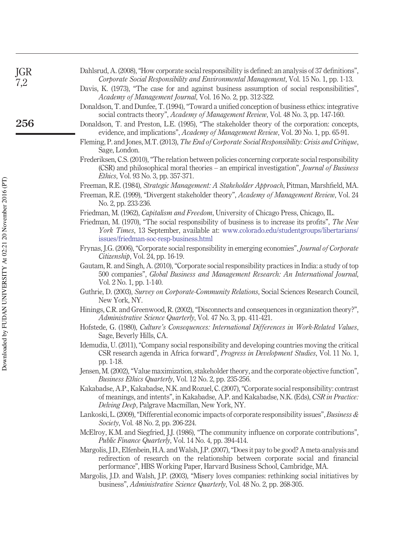| JGR<br>7,2 | Dahlsrud, A. (2008), "How corporate social responsibility is defined: an analysis of 37 definitions",<br>Corporate Social Responsibility and Environmental Management, Vol. 15 No. 1, pp. 1-13.                                                                                                                              |
|------------|------------------------------------------------------------------------------------------------------------------------------------------------------------------------------------------------------------------------------------------------------------------------------------------------------------------------------|
|            | Davis, K. (1973), "The case for and against business assumption of social responsibilities",<br>Academy of Management Journal, Vol. 16 No. 2, pp. 312-322.                                                                                                                                                                   |
|            | Donaldson, T. and Dunfee, T. (1994), "Toward a unified conception of business ethics: integrative<br>social contracts theory", Academy of Management Review, Vol. 48 No. 3, pp. 147-160.                                                                                                                                     |
| 256        | Donaldson, T. and Preston, L.E. (1995), "The stakeholder theory of the corporation: concepts,<br>evidence, and implications", Academy of Management Review, Vol. 20 No. 1, pp. 65-91.                                                                                                                                        |
|            | Fleming, P. and Jones, M.T. (2013), The End of Corporate Social Responsibility: Crisis and Critique,<br>Sage, London.                                                                                                                                                                                                        |
|            | Frederiksen, C.S. (2010), "The relation between policies concerning corporate social responsibility<br>(CSR) and philosophical moral theories - an empirical investigation", Journal of Business<br><i>Ethics</i> , Vol. 93 No. 3, pp. 357-371.                                                                              |
|            | Freeman, R.E. (1984), Strategic Management: A Stakeholder Approach, Pitman, Marshfield, MA.<br>Freeman, R.E. (1999), "Divergent stakeholder theory", Academy of Management Review, Vol. 24<br>No. 2, pp. 233-236.                                                                                                            |
|            | Friedman, M. (1962), Capitalism and Freedom, University of Chicago Press, Chicago, IL.<br>Friedman, M. (1970), "The social responsibility of business is to increase its profits", The New<br>York Times, 13 September, available at: www.colorado.edu/studentgroups/libertarians/<br>issues/friedman-soc-resp-business.html |
|            | Frynas, J.G. (2006), "Corporate social responsibility in emerging economies", Journal of Corporate<br>Citizenship, Vol. 24, pp. 16-19.                                                                                                                                                                                       |
|            | Gautam, R. and Singh, A. (2010), "Corporate social responsibility practices in India: a study of top<br>500 companies", Global Business and Management Research: An International Journal,<br>Vol. 2 No. 1, pp. 1-140.                                                                                                       |
|            | Guthrie, D. (2003), Survey on Corporate-Community Relations, Social Sciences Research Council,<br>New York, NY.                                                                                                                                                                                                              |
|            | Hinings, C.R. and Greenwood, R. (2002), "Disconnects and consequences in organization theory?",<br>Administrative Science Quarterly, Vol. 47 No. 3, pp. 411-421.                                                                                                                                                             |
|            | Hofstede, G. (1980), Culture's Consequences: International Differences in Work-Related Values,<br>Sage, Beverly Hills, CA.                                                                                                                                                                                                   |
|            | Idemudia, U. (2011), "Company social responsibility and developing countries moving the critical<br>CSR research agenda in Africa forward", Progress in Development Studies, Vol. 11 No. 1,<br>pp. 1-18.                                                                                                                     |
|            | Jensen, M. (2002), "Value maximization, stakeholder theory, and the corporate objective function",<br>Business Ethics Quarterly, Vol. 12 No. 2, pp. 235-256.                                                                                                                                                                 |
|            | Kakabadse, A.P., Kakabadse, N.K. and Rozuel, C. (2007), "Corporate social responsibility: contrast<br>of meanings, and intents", in Kakabadse, A.P. and Kakabadse, N.K. (Eds), CSR in Practice:<br>Delving Deep, Palgrave Macmillan, New York, NY.                                                                           |
|            | Lankoski, L. (2009), "Differential economic impacts of corporate responsibility issues", Business &<br>Society, Vol. 48 No. 2, pp. 206-224.                                                                                                                                                                                  |
|            | McElroy, K.M. and Siegfried, J.J. (1986), "The community influence on corporate contributions",<br>Public Finance Quarterly, Vol. 14 No. 4, pp. 394-414.                                                                                                                                                                     |
|            | Margolis, J.D., Elfenbein, H.A. and Walsh, J.P. (2007), "Does it pay to be good? A meta-analysis and<br>redirection of research on the relationship between corporate social and financial<br>performance", HBS Working Paper, Harvard Business School, Cambridge, MA.                                                       |
|            | Margolis, J.D. and Walsh, J.P. (2003), "Misery loves companies: rethinking social initiatives by<br>business", Administrative Science Quarterly, Vol. 48 No. 2, pp. 268-305.                                                                                                                                                 |
|            |                                                                                                                                                                                                                                                                                                                              |